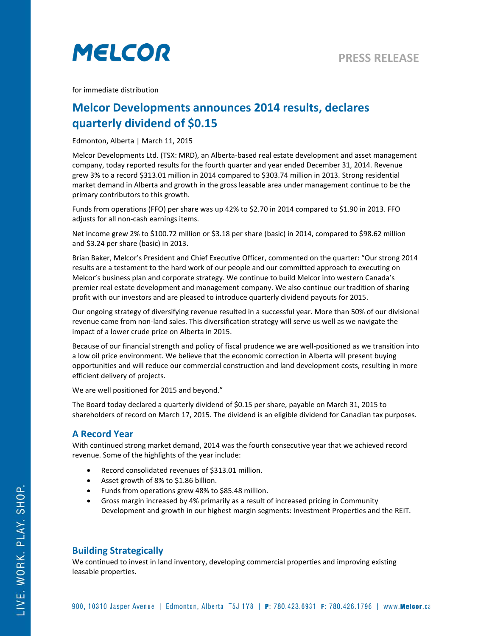

for immediate distribution

# **Melcor Developments announces 2014 results, declares quarterly dividend of \$0.15**

Edmonton, Alberta | March 11, 2015

Melcor Developments Ltd. (TSX: MRD), an Alberta-based real estate development and asset management company, today reported results for the fourth quarter and year ended December 31, 2014. Revenue grew 3% to a record \$313.01 million in 2014 compared to \$303.74 million in 2013. Strong residential market demand in Alberta and growth in the gross leasable area under management continue to be the primary contributors to this growth.

Funds from operations (FFO) per share was up 42% to \$2.70 in 2014 compared to \$1.90 in 2013. FFO adjusts for all non-cash earnings items.

Net income grew 2% to \$100.72 million or \$3.18 per share (basic) in 2014, compared to \$98.62 million and \$3.24 per share (basic) in 2013.

Brian Baker, Melcor's President and Chief Executive Officer, commented on the quarter: "Our strong 2014 results are a testament to the hard work of our people and our committed approach to executing on Melcor's business plan and corporate strategy. We continue to build Melcor into western Canada's premier real estate development and management company. We also continue our tradition of sharing profit with our investors and are pleased to introduce quarterly dividend payouts for 2015.

Our ongoing strategy of diversifying revenue resulted in a successful year. More than 50% of our divisional revenue came from non-land sales. This diversification strategy will serve us well as we navigate the impact of a lower crude price on Alberta in 2015.

Because of our financial strength and policy of fiscal prudence we are well-positioned as we transition into a low oil price environment. We believe that the economic correction in Alberta will present buying opportunities and will reduce our commercial construction and land development costs, resulting in more efficient delivery of projects.

We are well positioned for 2015 and beyond."

The Board today declared a quarterly dividend of \$0.15 per share, payable on March 31, 2015 to shareholders of record on March 17, 2015. The dividend is an eligible dividend for Canadian tax purposes.

### **A Record Year**

With continued strong market demand, 2014 was the fourth consecutive year that we achieved record revenue. Some of the highlights of the year include:

- Record consolidated revenues of \$313.01 million.
- Asset growth of 8% to \$1.86 billion.
- Funds from operations grew 48% to \$85.48 million.
- Gross margin increased by 4% primarily as a result of increased pricing in Community Development and growth in our highest margin segments: Investment Properties and the REIT.

### **Building Strategically**

We continued to invest in land inventory, developing commercial properties and improving existing leasable properties.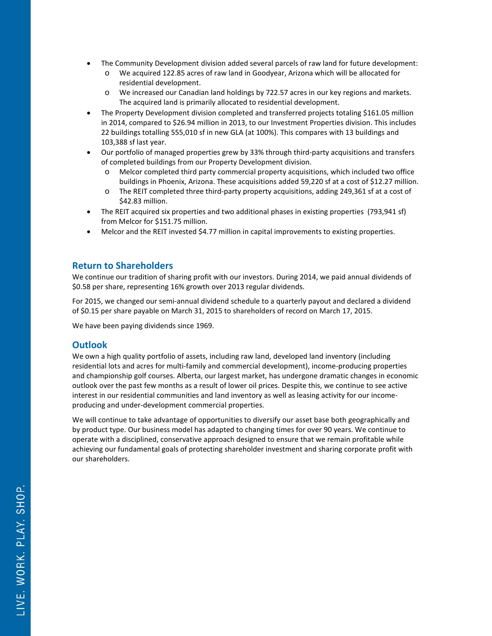- The Community Development division added several parcels of raw land for future development:
	- o We acquired 122.85 acres of raw land in Goodyear, Arizona which will be allocated for residential development.
	- o We increased our Canadian land holdings by 722.57 acres in our key regions and markets. The acquired land is primarily allocated to residential development.
- The Property Development division completed and transferred projects totaling \$161.05 million in 2014, compared to \$26.94 million in 2013, to our Investment Properties division. This includes 22 buildings totalling 555,010 sf in new GLA (at 100%). This compares with 13 buildings and 103,388 sf last year.
- Our portfolio of managed properties grew by 33% through third-party acquisitions and transfers of completed buildings from our Property Development division.
	- o Melcor completed third party commercial property acquisitions, which included two office buildings in Phoenix, Arizona. These acquisitions added 59,220 sf at a cost of \$12.27 million.
	- o The REIT completed three third-party property acquisitions, adding 249,361 sf at a cost of \$42.83 million.
- The REIT acquired six properties and two additional phases in existing properties (793,941 sf) from Melcor for \$151.75 million.
- Melcor and the REIT invested \$4.77 million in capital improvements to existing properties.

## **Return to Shareholders**

We continue our tradition of sharing profit with our investors. During 2014, we paid annual dividends of \$0.58 per share, representing 16% growth over 2013 regular dividends.

For 2015, we changed our semi-annual dividend schedule to a quarterly payout and declared a dividend of \$0.15 per share payable on March 31, 2015 to shareholders of record on March 17, 2015.

We have been paying dividends since 1969.

## **Outlook**

We own a high quality portfolio of assets, including raw land, developed land inventory (including residential lots and acres for multi-family and commercial development), income-producing properties and championship golf courses. Alberta, our largest market, has undergone dramatic changes in economic outlook over the past few months as a result of lower oil prices. Despite this, we continue to see active interest in our residential communities and land inventory as well as leasing activity for our incomeproducing and under-development commercial properties.

We will continue to take advantage of opportunities to diversify our asset base both geographically and by product type. Our business model has adapted to changing times for over 90 years. We continue to operate with a disciplined, conservative approach designed to ensure that we remain profitable while achieving our fundamental goals of protecting shareholder investment and sharing corporate profit with our shareholders.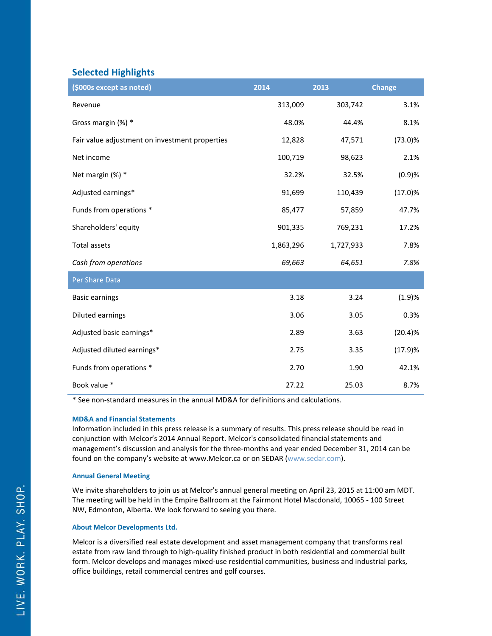# **Selected Highlights**

| (\$000s except as noted)                       | 2014      | 2013      | <b>Change</b> |
|------------------------------------------------|-----------|-----------|---------------|
| Revenue                                        | 313,009   | 303,742   | 3.1%          |
| Gross margin (%) *                             | 48.0%     | 44.4%     | 8.1%          |
| Fair value adjustment on investment properties | 12,828    | 47,571    | $(73.0)\%$    |
| Net income                                     | 100,719   | 98,623    | 2.1%          |
| Net margin (%) *                               | 32.2%     | 32.5%     | (0.9)%        |
| Adjusted earnings*                             | 91,699    | 110,439   | (17.0)%       |
| Funds from operations *                        | 85,477    | 57,859    | 47.7%         |
| Shareholders' equity                           | 901,335   | 769,231   | 17.2%         |
| <b>Total assets</b>                            | 1,863,296 | 1,727,933 | 7.8%          |
| Cash from operations                           | 69,663    | 64,651    | 7.8%          |
| Per Share Data                                 |           |           |               |
| <b>Basic earnings</b>                          | 3.18      | 3.24      | (1.9)%        |
| Diluted earnings                               | 3.06      | 3.05      | 0.3%          |
| Adjusted basic earnings*                       | 2.89      | 3.63      | (20.4)%       |
| Adjusted diluted earnings*                     | 2.75      | 3.35      | (17.9)%       |
| Funds from operations *                        | 2.70      | 1.90      | 42.1%         |
| Book value *                                   | 27.22     | 25.03     | 8.7%          |

\* See non-standard measures in the annual MD&A for definitions and calculations.

#### **MD&A and Financial Statements**

Information included in this press release is a summary of results. This press release should be read in conjunction with Melcor's 2014 Annual Report. Melcor's consolidated financial statements and management's discussion and analysis for the three-months and year ended December 31, 2014 can be found on the company's website at www.Melcor.ca or on SEDAR [\(www.sedar.com\)](http://www.sedar.com/).

#### **Annual General Meeting**

We invite shareholders to join us at Melcor's annual general meeting on April 23, 2015 at 11:00 am MDT. The meeting will be held in the Empire Ballroom at the Fairmont Hotel Macdonald, 10065 - 100 Street NW, Edmonton, Alberta. We look forward to seeing you there.

#### **About Melcor Developments Ltd.**

Melcor is a diversified real estate development and asset management company that transforms real estate from raw land through to high-quality finished product in both residential and commercial built form. Melcor develops and manages mixed-use residential communities, business and industrial parks, office buildings, retail commercial centres and golf courses.